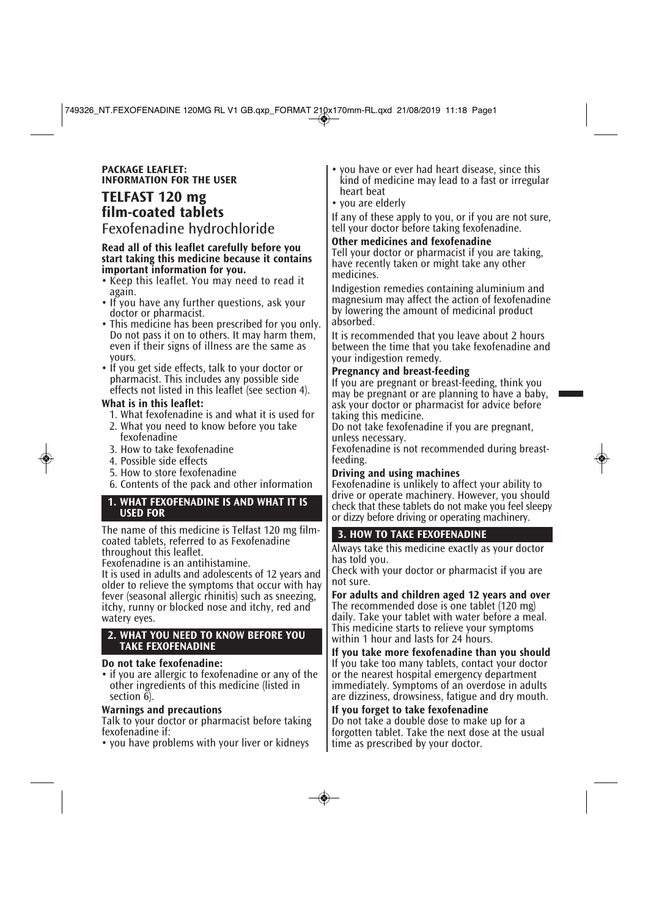#### **PACKAGE LEAFLET: INFORMATION FOR THE USER**

# **TELFAST 120 mg film-coated tablets**

Fexofenadine hydrochloride

#### **Read all of this leaflet carefully before you start taking this medicine because it contains important information for you.**

- Keep this leaflet. You may need to read it again.
- If you have any further questions, ask your doctor or pharmacist.
- This medicine has been prescribed for you only. Do not pass it on to others. It may harm them, even if their signs of illness are the same as yours.
- If you get side effects, talk to your doctor or pharmacist. This includes any possible side effects not listed in this leaflet (see section 4).

## **What is in this leaflet:**

- 1. What fexofenadine is and what it is used for
- 2. What you need to know before you take fexofenadine
- 3. How to take fexofenadine
- 4. Possible side effects
- 5. How to store fexofenadine
- 6. Contents of the pack and other information

#### **1. WHAT FEXOFENADINE IS AND WHAT IT IS USED FOR**

The name of this medicine is Telfast 120 mg filmcoated tablets, referred to as Fexofenadine throughout this leaflet.

Fexofenadine is an antihistamine.

It is used in adults and adolescents of 12 years and older to relieve the symptoms that occur with hay fever (seasonal allergic rhinitis) such as sneezing, itchy, runny or blocked nose and itchy, red and watery eyes.

#### **2. WHAT YOU NEED TO KNOW BEFORE YOU TAKE FEXOFENADINE**

## **Do not take fexofenadine:**

• if you are allergic to fexofenadine or any of the other ingredients of this medicine (listed in section 6).

## **Warnings and precautions**

Talk to your doctor or pharmacist before taking fexofenadine if:

• you have problems with your liver or kidneys

- you have or ever had heart disease, since this kind of medicine may lead to a fast or irregular heart beat
- you are elderly

If any of these apply to you, or if you are not sure, tell your doctor before taking fexofenadine.

# **Other medicines and fexofenadine**

Tell your doctor or pharmacist if you are taking, have recently taken or might take any other medicines.

Indigestion remedies containing aluminium and magnesium may affect the action of fexofenadine by lowering the amount of medicinal product absorbed.

It is recommended that you leave about 2 hours between the time that you take fexofenadine and your indigestion remedy.

## **Pregnancy and breast-feeding**

If you are pregnant or breast-feeding, think you may be pregnant or are planning to have a baby, ask your doctor or pharmacist for advice before taking this medicine.

Do not take fexofenadine if you are pregnant, unless necessary.

Fexofenadine is not recommended during breastfeeding.

# **Driving and using machines**

Fexofenadine is unlikely to affect your ability to drive or operate machinery. However, you should check that these tablets do not make you feel sleepy or dizzy before driving or operating machinery.

# **3. HOW TO TAKE FEXOFENADINE**

Always take this medicine exactly as your doctor has told you.

Check with your doctor or pharmacist if you are not sure.

**For adults and children aged 12 years and over** The recommended dose is one tablet (120 mg) daily. Take your tablet with water before a meal. This medicine starts to relieve your symptoms within 1 hour and lasts for 24 hours.

**If you take more fexofenadine than you should** If you take too many tablets, contact your doctor or the nearest hospital emergency department immediately. Symptoms of an overdose in adults are dizziness, drowsiness, fatigue and dry mouth.

## **If you forget to take fexofenadine**

Do not take a double dose to make up for a forgotten tablet. Take the next dose at the usual time as prescribed by your doctor.